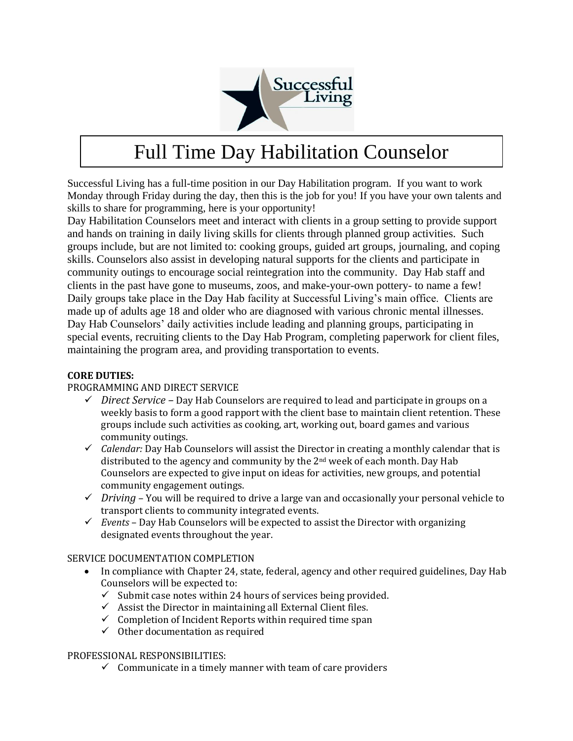

# Full Time Day Habilitation Counselor

Successful Living has a full-time position in our Day Habilitation program. If you want to work Monday through Friday during the day, then this is the job for you! If you have your own talents and skills to share for programming, here is your opportunity!

Day Habilitation Counselors meet and interact with clients in a group setting to provide support and hands on training in daily living skills for clients through planned group activities. Such groups include, but are not limited to: cooking groups, guided art groups, journaling, and coping skills. Counselors also assist in developing natural supports for the clients and participate in community outings to encourage social reintegration into the community. Day Hab staff and clients in the past have gone to museums, zoos, and make-your-own pottery- to name a few! Daily groups take place in the Day Hab facility at Successful Living's main office. Clients are made up of adults age 18 and older who are diagnosed with various chronic mental illnesses. Day Hab Counselors' daily activities include leading and planning groups, participating in special events, recruiting clients to the Day Hab Program, completing paperwork for client files, maintaining the program area, and providing transportation to events.

## **CORE DUTIES:**

## PROGRAMMING AND DIRECT SERVICE

- ✓ *Direct Service –* Day Hab Counselors are required to lead and participate in groups on a weekly basis to form a good rapport with the client base to maintain client retention. These groups include such activities as cooking, art, working out, board games and various community outings.
- ✓ *Calendar:* Day Hab Counselors will assist the Director in creating a monthly calendar that is distributed to the agency and community by the  $2<sup>nd</sup>$  week of each month. Day Hab Counselors are expected to give input on ideas for activities, new groups, and potential community engagement outings.
- $\checkmark$  *Driving* You will be required to drive a large van and occasionally your personal vehicle to transport clients to community integrated events.
- ✓ *Events* Day Hab Counselors will be expected to assist the Director with organizing designated events throughout the year.

#### SERVICE DOCUMENTATION COMPLETION

- In compliance with Chapter 24, state, federal, agency and other required guidelines, Day Hab Counselors will be expected to:
	- $\checkmark$  Submit case notes within 24 hours of services being provided.
	- $\checkmark$  Assist the Director in maintaining all External Client files.
	- $\checkmark$  Completion of Incident Reports within required time span
	- $\checkmark$  Other documentation as required

#### PROFESSIONAL RESPONSIBILITIES:

 $\checkmark$  Communicate in a timely manner with team of care providers